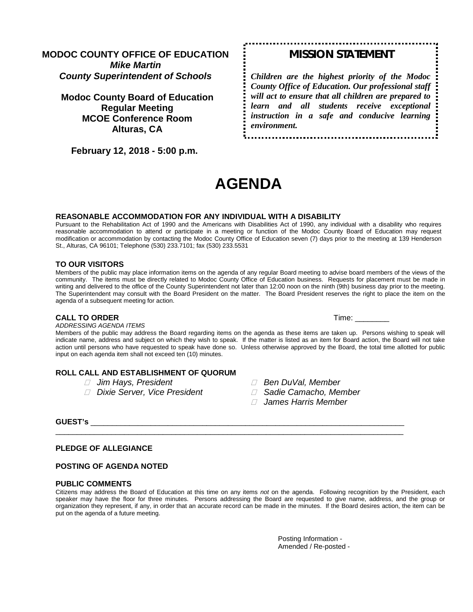### **MODOC COUNTY OFFICE OF EDUCATION** *Mike Martin County Superintendent of Schools*

## **Modoc County Board of Education Regular Meeting MCOE Conference Room Alturas, CA**

 **February 12, 2018 - 5:00 p.m.** 

# *MISSION STATEMENT*

*Children are the highest priority of the Modoc County Office of Education. Our professional staff will act to ensure that all children are prepared to learn and all students receive exceptional instruction in a safe and conducive learning environment.*

# **AGENDA**

#### **REASONABLE ACCOMMODATION FOR ANY INDIVIDUAL WITH A DISABILITY**

Pursuant to the Rehabilitation Act of 1990 and the Americans with Disabilities Act of 1990, any individual with a disability who requires reasonable accommodation to attend or participate in a meeting or function of the Modoc County Board of Education may request modification or accommodation by contacting the Modoc County Office of Education seven (7) days prior to the meeting at 139 Henderson St., Alturas, CA 96101; Telephone (530) 233.7101; fax (530) 233.5531

#### **TO OUR VISITORS**

Members of the public may place information items on the agenda of any regular Board meeting to advise board members of the views of the community. The items must be directly related to Modoc County Office of Education business. Requests for placement must be made in writing and delivered to the office of the County Superintendent not later than 12:00 noon on the ninth (9th) business day prior to the meeting. The Superintendent may consult with the Board President on the matter. The Board President reserves the right to place the item on the agenda of a subsequent meeting for action.

#### **CALL TO ORDER Time:**  $\blacksquare$

*ADDRESSING AGENDA ITEMS*

Members of the public may address the Board regarding items on the agenda as these items are taken up. Persons wishing to speak will indicate name, address and subject on which they wish to speak. If the matter is listed as an item for Board action, the Board will not take action until persons who have requested to speak have done so. Unless otherwise approved by the Board, the total time allotted for public input on each agenda item shall not exceed ten (10) minutes.

#### **ROLL CALL AND ESTABLISHMENT OF QUORUM**

- 
- *Dixie Server, Vice President Sadie Camacho, Member*
- *Jim Hays, President Ben DuVal, Member*
	-
	- *James Harris Member*

#### **GUEST's** \_\_\_\_\_\_\_\_\_\_\_\_\_\_\_\_\_\_\_\_\_\_\_\_\_\_\_\_\_\_\_\_\_\_\_\_\_\_\_\_\_\_\_\_\_\_\_\_\_\_\_\_\_\_\_\_\_\_\_\_\_\_\_\_\_\_\_\_\_\_\_\_\_

#### **PLEDGE OF ALLEGIANCE**

#### **POSTING OF AGENDA NOTED**

#### **PUBLIC COMMENTS**

Citizens may address the Board of Education at this time on any items *not* on the agenda. Following recognition by the President, each speaker may have the floor for three minutes. Persons addressing the Board are requested to give name, address, and the group or organization they represent, if any, in order that an accurate record can be made in the minutes. If the Board desires action, the item can be put on the agenda of a future meeting.

\_\_\_\_\_\_\_\_\_\_\_\_\_\_\_\_\_\_\_\_\_\_\_\_\_\_\_\_\_\_\_\_\_\_\_\_\_\_\_\_\_\_\_\_\_\_\_\_\_\_\_\_\_\_\_\_\_\_\_\_\_\_\_\_\_\_\_\_\_\_\_\_\_\_\_\_\_\_\_\_\_

Posting Information - Amended / Re-posted -